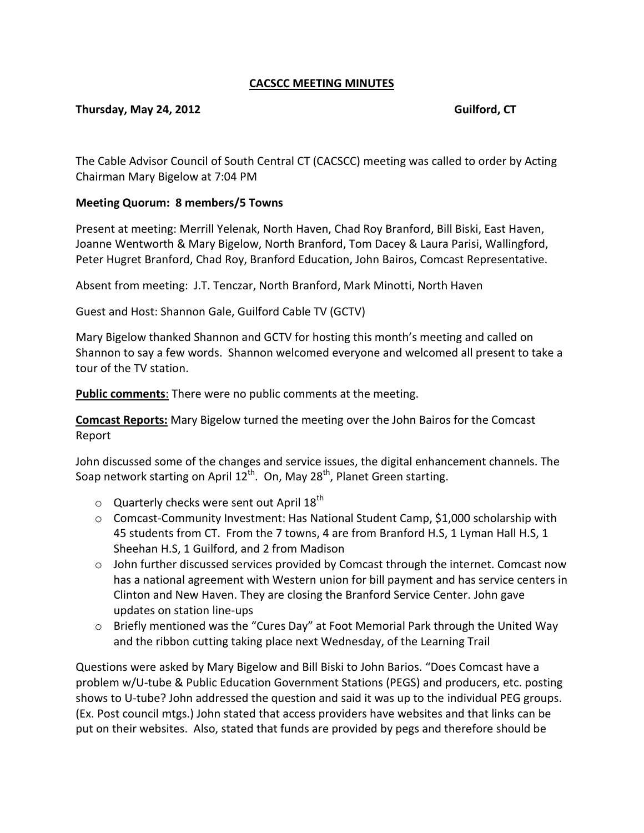## **CACSCC MEETING MINUTES**

## **Thursday, May 24, 2012 Guilford, CT**

The Cable Advisor Council of South Central CT (CACSCC) meeting was called to order by Acting Chairman Mary Bigelow at 7:04 PM

## **Meeting Quorum: 8 members/5 Towns**

Present at meeting: Merrill Yelenak, North Haven, Chad Roy Branford, Bill Biski, East Haven, Joanne Wentworth & Mary Bigelow, North Branford, Tom Dacey & Laura Parisi, Wallingford, Peter Hugret Branford, Chad Roy, Branford Education, John Bairos, Comcast Representative.

Absent from meeting: J.T. Tenczar, North Branford, Mark Minotti, North Haven

Guest and Host: Shannon Gale, Guilford Cable TV (GCTV)

Mary Bigelow thanked Shannon and GCTV for hosting this month's meeting and called on Shannon to say a few words. Shannon welcomed everyone and welcomed all present to take a tour of the TV station.

**Public comments**: There were no public comments at the meeting.

**Comcast Reports:** Mary Bigelow turned the meeting over the John Bairos for the Comcast Report

John discussed some of the changes and service issues, the digital enhancement channels. The Soap network starting on April 12<sup>th</sup>. On, May 28<sup>th</sup>, Planet Green starting.

- $\circ$  Quarterly checks were sent out April 18<sup>th</sup>
- $\circ$  Comcast-Community Investment: Has National Student Camp, \$1,000 scholarship with 45 students from CT. From the 7 towns, 4 are from Branford H.S, 1 Lyman Hall H.S, 1 Sheehan H.S, 1 Guilford, and 2 from Madison
- $\circ$  John further discussed services provided by Comcast through the internet. Comcast now has a national agreement with Western union for bill payment and has service centers in Clinton and New Haven. They are closing the Branford Service Center. John gave updates on station line-ups
- $\circ$  Briefly mentioned was the "Cures Day" at Foot Memorial Park through the United Way and the ribbon cutting taking place next Wednesday, of the Learning Trail

Questions were asked by Mary Bigelow and Bill Biski to John Barios. "Does Comcast have a problem w/U-tube & Public Education Government Stations (PEGS) and producers, etc. posting shows to U-tube? John addressed the question and said it was up to the individual PEG groups. (Ex. Post council mtgs.) John stated that access providers have websites and that links can be put on their websites. Also, stated that funds are provided by pegs and therefore should be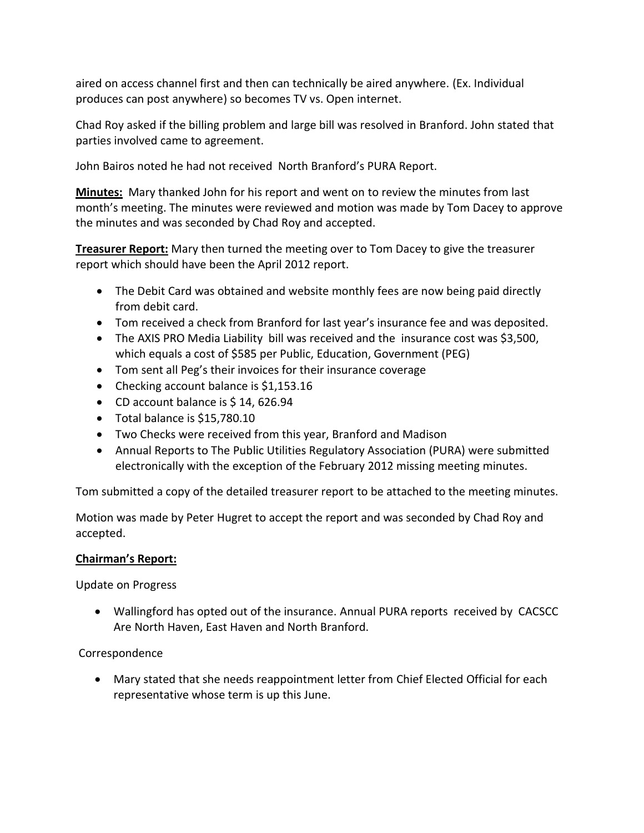aired on access channel first and then can technically be aired anywhere. (Ex. Individual produces can post anywhere) so becomes TV vs. Open internet.

Chad Roy asked if the billing problem and large bill was resolved in Branford. John stated that parties involved came to agreement.

John Bairos noted he had not received North Branford's PURA Report.

**Minutes:** Mary thanked John for his report and went on to review the minutes from last month's meeting. The minutes were reviewed and motion was made by Tom Dacey to approve the minutes and was seconded by Chad Roy and accepted.

**Treasurer Report:** Mary then turned the meeting over to Tom Dacey to give the treasurer report which should have been the April 2012 report.

- The Debit Card was obtained and website monthly fees are now being paid directly from debit card.
- Tom received a check from Branford for last year's insurance fee and was deposited.
- The AXIS PRO Media Liability bill was received and the insurance cost was \$3,500, which equals a cost of \$585 per Public, Education, Government (PEG)
- Tom sent all Peg's their invoices for their insurance coverage
- Checking account balance is \$1,153.16
- CD account balance is \$14,626.94
- Total balance is \$15,780.10
- Two Checks were received from this year, Branford and Madison
- Annual Reports to The Public Utilities Regulatory Association (PURA) were submitted electronically with the exception of the February 2012 missing meeting minutes.

Tom submitted a copy of the detailed treasurer report to be attached to the meeting minutes.

Motion was made by Peter Hugret to accept the report and was seconded by Chad Roy and accepted.

# **Chairman's Report:**

Update on Progress

 Wallingford has opted out of the insurance. Annual PURA reports received by CACSCC Are North Haven, East Haven and North Branford.

Correspondence

 Mary stated that she needs reappointment letter from Chief Elected Official for each representative whose term is up this June.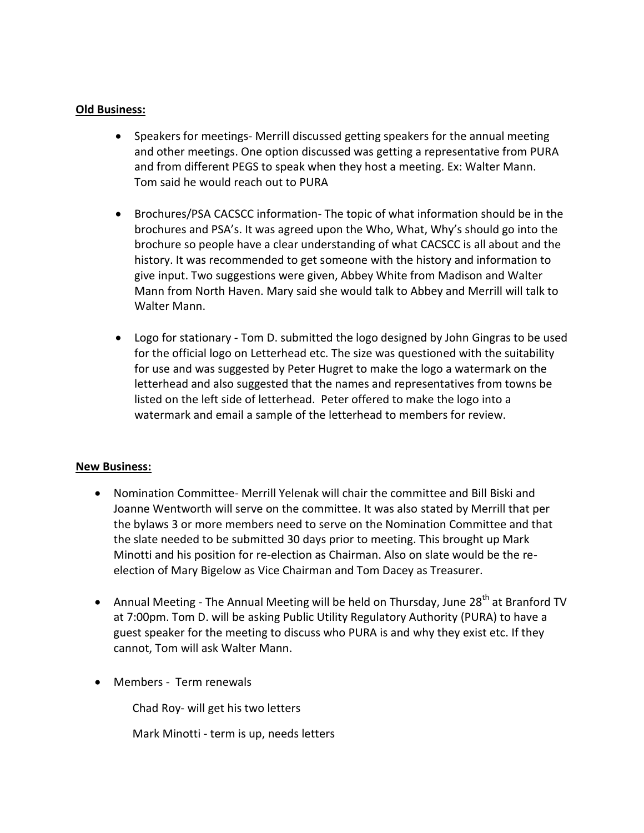#### **Old Business:**

- Speakers for meetings- Merrill discussed getting speakers for the annual meeting and other meetings. One option discussed was getting a representative from PURA and from different PEGS to speak when they host a meeting. Ex: Walter Mann. Tom said he would reach out to PURA
- Brochures/PSA CACSCC information- The topic of what information should be in the brochures and PSA's. It was agreed upon the Who, What, Why's should go into the brochure so people have a clear understanding of what CACSCC is all about and the history. It was recommended to get someone with the history and information to give input. Two suggestions were given, Abbey White from Madison and Walter Mann from North Haven. Mary said she would talk to Abbey and Merrill will talk to Walter Mann.
- Logo for stationary Tom D. submitted the logo designed by John Gingras to be used for the official logo on Letterhead etc. The size was questioned with the suitability for use and was suggested by Peter Hugret to make the logo a watermark on the letterhead and also suggested that the names and representatives from towns be listed on the left side of letterhead. Peter offered to make the logo into a watermark and email a sample of the letterhead to members for review.

## **New Business:**

- Nomination Committee- Merrill Yelenak will chair the committee and Bill Biski and Joanne Wentworth will serve on the committee. It was also stated by Merrill that per the bylaws 3 or more members need to serve on the Nomination Committee and that the slate needed to be submitted 30 days prior to meeting. This brought up Mark Minotti and his position for re-election as Chairman. Also on slate would be the reelection of Mary Bigelow as Vice Chairman and Tom Dacey as Treasurer.
- Annual Meeting The Annual Meeting will be held on Thursday, June 28<sup>th</sup> at Branford TV at 7:00pm. Tom D. will be asking Public Utility Regulatory Authority (PURA) to have a guest speaker for the meeting to discuss who PURA is and why they exist etc. If they cannot, Tom will ask Walter Mann.
- Members Term renewals

Chad Roy- will get his two letters

Mark Minotti - term is up, needs letters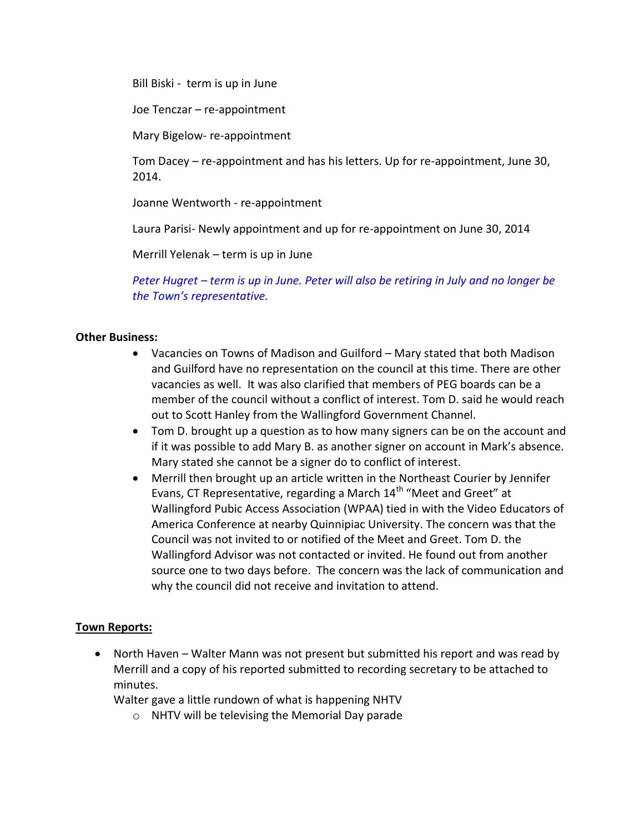Bill Biski - term is up in June

Joe Tenczar – re-appointment

Mary Bigelow- re-appointment

Tom Dacey – re-appointment and has his letters. Up for re-appointment, June 30, 2014.

Joanne Wentworth - re-appointment

Laura Parisi- Newly appointment and up for re-appointment on June 30, 2014

Merrill Yelenak – term is up in June

*Peter Hugret – term is up in June. Peter will also be retiring in July and no longer be the Town's representative.*

#### **Other Business:**

- Vacancies on Towns of Madison and Guilford Mary stated that both Madison and Guilford have no representation on the council at this time. There are other vacancies as well. It was also clarified that members of PEG boards can be a member of the council without a conflict of interest. Tom D. said he would reach out to Scott Hanley from the Wallingford Government Channel.
- Tom D. brought up a question as to how many signers can be on the account and if it was possible to add Mary B. as another signer on account in Mark's absence. Mary stated she cannot be a signer do to conflict of interest.
- Merrill then brought up an article written in the Northeast Courier by Jennifer Evans, CT Representative, regarding a March  $14<sup>th</sup>$  "Meet and Greet" at Wallingford Pubic Access Association (WPAA) tied in with the Video Educators of America Conference at nearby Quinnipiac University. The concern was that the Council was not invited to or notified of the Meet and Greet. Tom D. the Wallingford Advisor was not contacted or invited. He found out from another source one to two days before. The concern was the lack of communication and why the council did not receive and invitation to attend.

#### **Town Reports:**

• North Haven – Walter Mann was not present but submitted his report and was read by Merrill and a copy of his reported submitted to recording secretary to be attached to minutes.

Walter gave a little rundown of what is happening NHTV

o NHTV will be televising the Memorial Day parade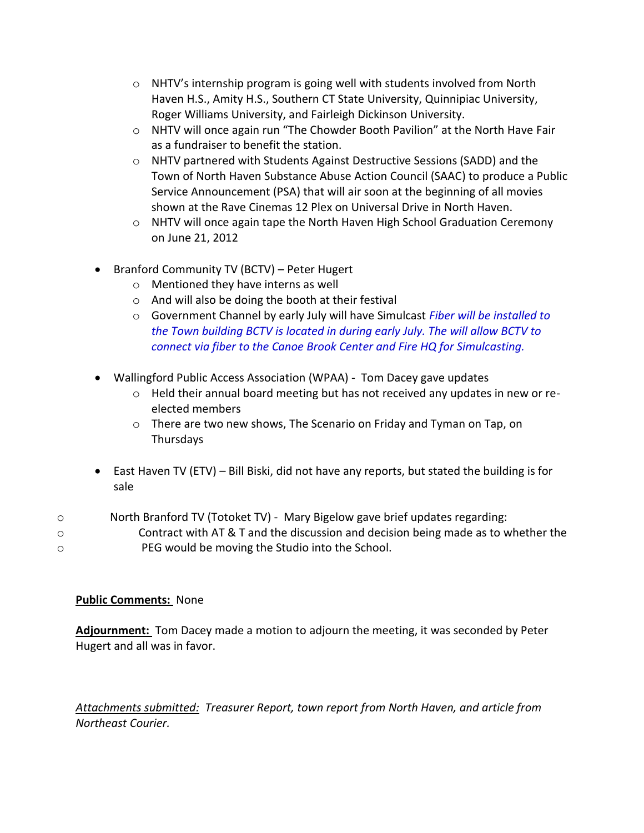- o NHTV's internship program is going well with students involved from North Haven H.S., Amity H.S., Southern CT State University, Quinnipiac University, Roger Williams University, and Fairleigh Dickinson University.
- o NHTV will once again run "The Chowder Booth Pavilion" at the North Have Fair as a fundraiser to benefit the station.
- o NHTV partnered with Students Against Destructive Sessions (SADD) and the Town of North Haven Substance Abuse Action Council (SAAC) to produce a Public Service Announcement (PSA) that will air soon at the beginning of all movies shown at the Rave Cinemas 12 Plex on Universal Drive in North Haven.
- o NHTV will once again tape the North Haven High School Graduation Ceremony on June 21, 2012
- Branford Community TV (BCTV) Peter Hugert
	- o Mentioned they have interns as well
	- o And will also be doing the booth at their festival
	- o Government Channel by early July will have Simulcast *Fiber will be installed to the Town building BCTV is located in during early July. The will allow BCTV to connect via fiber to the Canoe Brook Center and Fire HQ for Simulcasting.*
- Wallingford Public Access Association (WPAA) Tom Dacey gave updates
	- o Held their annual board meeting but has not received any updates in new or reelected members
	- $\circ$  There are two new shows, The Scenario on Friday and Tyman on Tap, on Thursdays
- East Haven TV (ETV) Bill Biski, did not have any reports, but stated the building is for sale
- o North Branford TV (Totoket TV) Mary Bigelow gave brief updates regarding:
- o Contract with AT & T and the discussion and decision being made as to whether the o PEG would be moving the Studio into the School.

# **Public Comments:** None

**Adjournment:** Tom Dacey made a motion to adjourn the meeting, it was seconded by Peter Hugert and all was in favor.

*Attachments submitted: Treasurer Report, town report from North Haven, and article from Northeast Courier.*